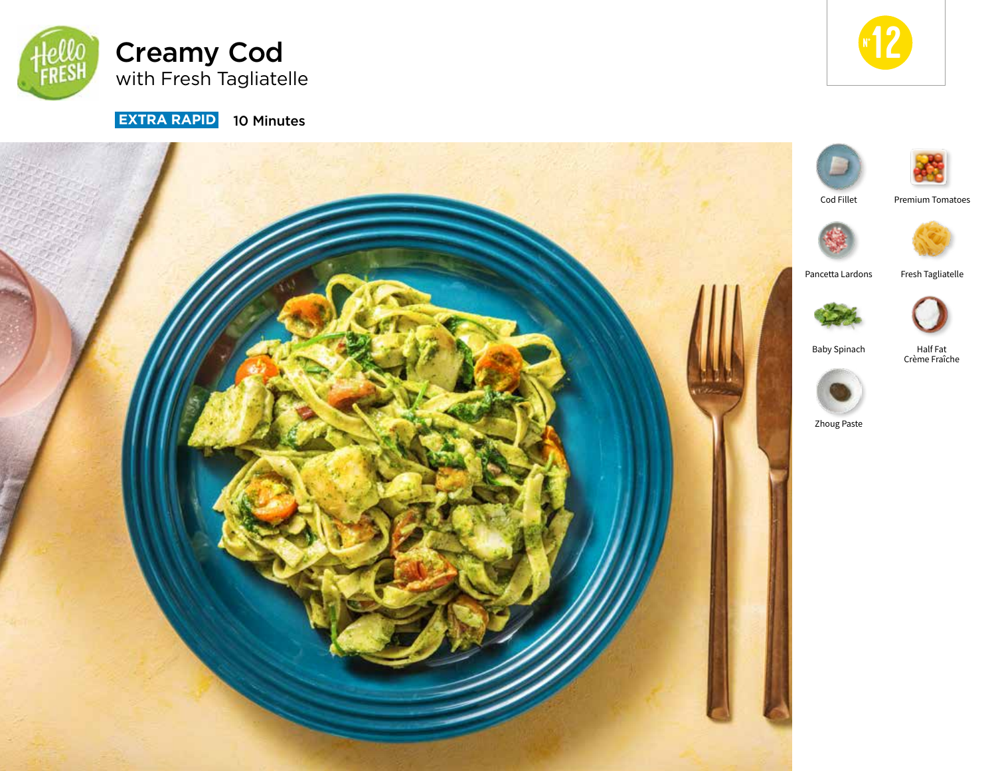



**EXTRA RAPID** 10 Minutes